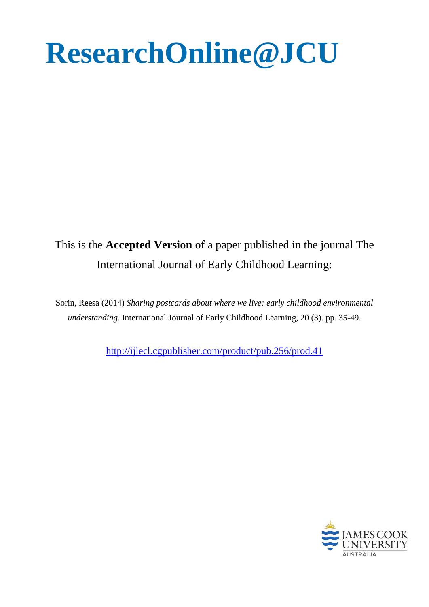# **ResearchOnline@JCU**

# This is the **Accepted Version** of a paper published in the journal The International Journal of Early Childhood Learning:

Sorin, Reesa (2014) *Sharing postcards about where we live: early childhood environmental understanding.* International Journal of Early Childhood Learning, 20 (3). pp. 35-49.

<http://ijlecl.cgpublisher.com/product/pub.256/prod.41>

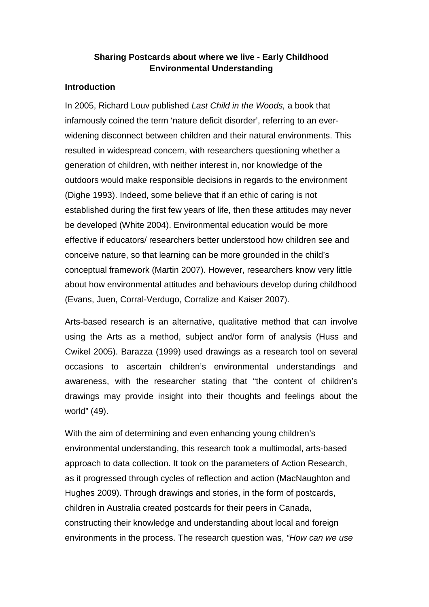# **Sharing Postcards about where we live - Early Childhood Environmental Understanding**

#### **Introduction**

In 2005, Richard Louv published *Last Child in the Woods,* a book that infamously coined the term 'nature deficit disorder', referring to an everwidening disconnect between children and their natural environments. This resulted in widespread concern, with researchers questioning whether a generation of children, with neither interest in, nor knowledge of the outdoors would make responsible decisions in regards to the environment (Dighe 1993). Indeed, some believe that if an ethic of caring is not established during the first few years of life, then these attitudes may never be developed (White 2004). Environmental education would be more effective if educators/ researchers better understood how children see and conceive nature, so that learning can be more grounded in the child's conceptual framework (Martin 2007). However, researchers know very little about how environmental attitudes and behaviours develop during childhood (Evans, Juen, Corral-Verdugo, Corralize and Kaiser 2007).

Arts-based research is an alternative, qualitative method that can involve using the Arts as a method, subject and/or form of analysis (Huss and Cwikel 2005). Barazza (1999) used drawings as a research tool on several occasions to ascertain children's environmental understandings and awareness, with the researcher stating that "the content of children's drawings may provide insight into their thoughts and feelings about the world" (49).

With the aim of determining and even enhancing young children's environmental understanding, this research took a multimodal, arts-based approach to data collection. It took on the parameters of Action Research, as it progressed through cycles of reflection and action (MacNaughton and Hughes 2009). Through drawings and stories, in the form of postcards, children in Australia created postcards for their peers in Canada, constructing their knowledge and understanding about local and foreign environments in the process. The research question was, *"How can we use*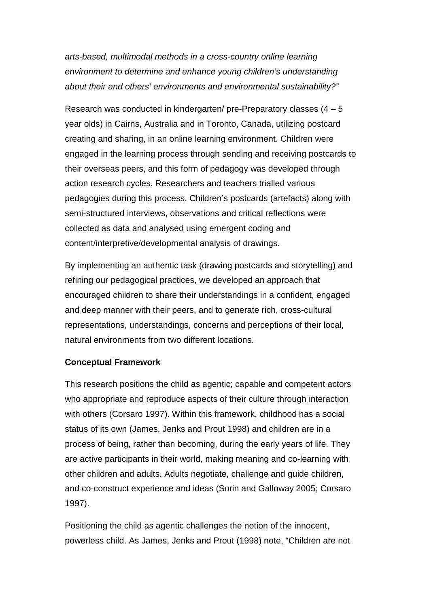*arts-based, multimodal methods in a cross-country online learning environment to determine and enhance young children's understanding about their and others' environments and environmental sustainability?"*

Research was conducted in kindergarten/ pre-Preparatory classes  $(4 - 5)$ year olds) in Cairns, Australia and in Toronto, Canada, utilizing postcard creating and sharing, in an online learning environment. Children were engaged in the learning process through sending and receiving postcards to their overseas peers, and this form of pedagogy was developed through action research cycles. Researchers and teachers trialled various pedagogies during this process. Children's postcards (artefacts) along with semi-structured interviews, observations and critical reflections were collected as data and analysed using emergent coding and content/interpretive/developmental analysis of drawings.

By implementing an authentic task (drawing postcards and storytelling) and refining our pedagogical practices, we developed an approach that encouraged children to share their understandings in a confident, engaged and deep manner with their peers, and to generate rich, cross-cultural representations, understandings, concerns and perceptions of their local, natural environments from two different locations.

### **Conceptual Framework**

This research positions the child as agentic; capable and competent actors who appropriate and reproduce aspects of their culture through interaction with others (Corsaro 1997). Within this framework, childhood has a social status of its own (James, Jenks and Prout 1998) and children are in a process of being, rather than becoming, during the early years of life. They are active participants in their world, making meaning and co-learning with other children and adults. Adults negotiate, challenge and guide children, and co-construct experience and ideas (Sorin and Galloway 2005; Corsaro 1997).

Positioning the child as agentic challenges the notion of the innocent, powerless child. As James, Jenks and Prout (1998) note, "Children are not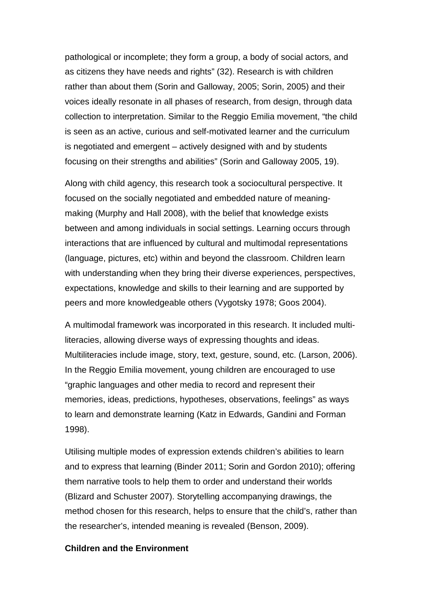pathological or incomplete; they form a group, a body of social actors, and as citizens they have needs and rights" (32). Research is with children rather than about them (Sorin and Galloway, 2005; Sorin, 2005) and their voices ideally resonate in all phases of research, from design, through data collection to interpretation. Similar to the Reggio Emilia movement, "the child is seen as an active, curious and self-motivated learner and the curriculum is negotiated and emergent – actively designed with and by students focusing on their strengths and abilities" (Sorin and Galloway 2005, 19).

Along with child agency, this research took a sociocultural perspective. It focused on the socially negotiated and embedded nature of meaningmaking (Murphy and Hall 2008), with the belief that knowledge exists between and among individuals in social settings. Learning occurs through interactions that are influenced by cultural and multimodal representations (language, pictures, etc) within and beyond the classroom. Children learn with understanding when they bring their diverse experiences, perspectives, expectations, knowledge and skills to their learning and are supported by peers and more knowledgeable others (Vygotsky 1978; Goos 2004).

A multimodal framework was incorporated in this research. It included multiliteracies, allowing diverse ways of expressing thoughts and ideas. Multiliteracies include image, story, text, gesture, sound, etc. (Larson, 2006). In the Reggio Emilia movement, young children are encouraged to use "graphic languages and other media to record and represent their memories, ideas, predictions, hypotheses, observations, feelings" as ways to learn and demonstrate learning (Katz in Edwards, Gandini and Forman 1998).

Utilising multiple modes of expression extends children's abilities to learn and to express that learning (Binder 2011; Sorin and Gordon 2010); offering them narrative tools to help them to order and understand their worlds (Blizard and Schuster 2007). Storytelling accompanying drawings, the method chosen for this research, helps to ensure that the child's, rather than the researcher's, intended meaning is revealed (Benson, 2009).

#### **Children and the Environment**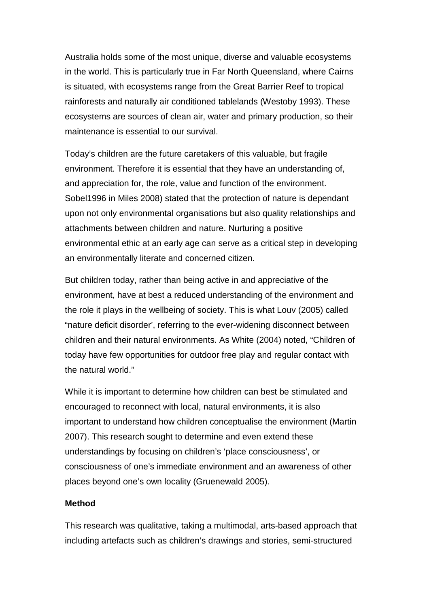Australia holds some of the most unique, diverse and valuable ecosystems in the world. This is particularly true in Far North Queensland, where Cairns is situated, with ecosystems range from the Great Barrier Reef to tropical rainforests and naturally air conditioned tablelands (Westoby 1993). These ecosystems are sources of clean air, water and primary production, so their maintenance is essential to our survival.

Today's children are the future caretakers of this valuable, but fragile environment. Therefore it is essential that they have an understanding of, and appreciation for, the role, value and function of the environment. Sobel1996 in Miles 2008) stated that the protection of nature is dependant upon not only environmental organisations but also quality relationships and attachments between children and nature. Nurturing a positive environmental ethic at an early age can serve as a critical step in developing an environmentally literate and concerned citizen.

But children today, rather than being active in and appreciative of the environment, have at best a reduced understanding of the environment and the role it plays in the wellbeing of society. This is what Louv (2005) called "nature deficit disorder', referring to the ever-widening disconnect between children and their natural environments. As White (2004) noted, "Children of today have few opportunities for outdoor free play and regular contact with the natural world."

While it is important to determine how children can best be stimulated and encouraged to reconnect with local, natural environments, it is also important to understand how children conceptualise the environment (Martin 2007). This research sought to determine and even extend these understandings by focusing on children's 'place consciousness', or consciousness of one's immediate environment and an awareness of other places beyond one's own locality (Gruenewald 2005).

#### **Method**

This research was qualitative, taking a multimodal, arts-based approach that including artefacts such as children's drawings and stories, semi-structured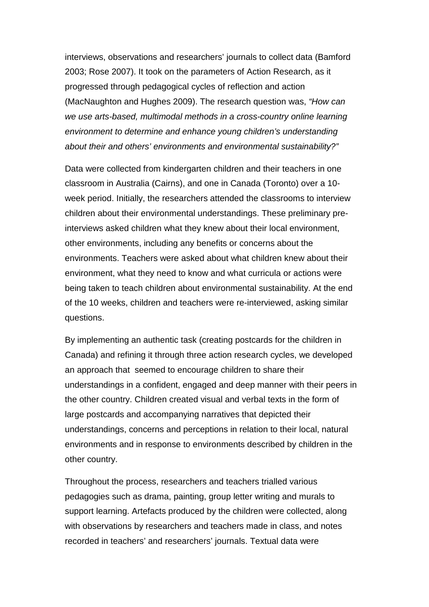interviews, observations and researchers' journals to collect data (Bamford 2003; Rose 2007). It took on the parameters of Action Research, as it progressed through pedagogical cycles of reflection and action (MacNaughton and Hughes 2009). The research question was, *"How can we use arts-based, multimodal methods in a cross-country online learning environment to determine and enhance young children's understanding about their and others' environments and environmental sustainability?"*

Data were collected from kindergarten children and their teachers in one classroom in Australia (Cairns), and one in Canada (Toronto) over a 10 week period. Initially, the researchers attended the classrooms to interview children about their environmental understandings. These preliminary preinterviews asked children what they knew about their local environment, other environments, including any benefits or concerns about the environments. Teachers were asked about what children knew about their environment, what they need to know and what curricula or actions were being taken to teach children about environmental sustainability. At the end of the 10 weeks, children and teachers were re-interviewed, asking similar questions.

By implementing an authentic task (creating postcards for the children in Canada) and refining it through three action research cycles, we developed an approach that seemed to encourage children to share their understandings in a confident, engaged and deep manner with their peers in the other country. Children created visual and verbal texts in the form of large postcards and accompanying narratives that depicted their understandings, concerns and perceptions in relation to their local, natural environments and in response to environments described by children in the other country.

Throughout the process, researchers and teachers trialled various pedagogies such as drama, painting, group letter writing and murals to support learning. Artefacts produced by the children were collected, along with observations by researchers and teachers made in class, and notes recorded in teachers' and researchers' journals. Textual data were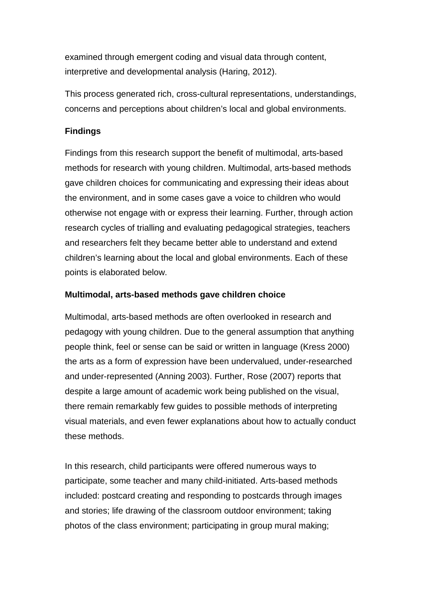examined through emergent coding and visual data through content, interpretive and developmental analysis (Haring, 2012).

This process generated rich, cross-cultural representations, understandings, concerns and perceptions about children's local and global environments.

# **Findings**

Findings from this research support the benefit of multimodal, arts-based methods for research with young children. Multimodal, arts-based methods gave children choices for communicating and expressing their ideas about the environment, and in some cases gave a voice to children who would otherwise not engage with or express their learning. Further, through action research cycles of trialling and evaluating pedagogical strategies, teachers and researchers felt they became better able to understand and extend children's learning about the local and global environments. Each of these points is elaborated below.

# **Multimodal, arts-based methods gave children choice**

Multimodal, arts-based methods are often overlooked in research and pedagogy with young children. Due to the general assumption that anything people think, feel or sense can be said or written in language (Kress 2000) the arts as a form of expression have been undervalued, under-researched and under-represented (Anning 2003). Further, Rose (2007) reports that despite a large amount of academic work being published on the visual, there remain remarkably few guides to possible methods of interpreting visual materials, and even fewer explanations about how to actually conduct these methods.

In this research, child participants were offered numerous ways to participate, some teacher and many child-initiated. Arts-based methods included: postcard creating and responding to postcards through images and stories; life drawing of the classroom outdoor environment; taking photos of the class environment; participating in group mural making;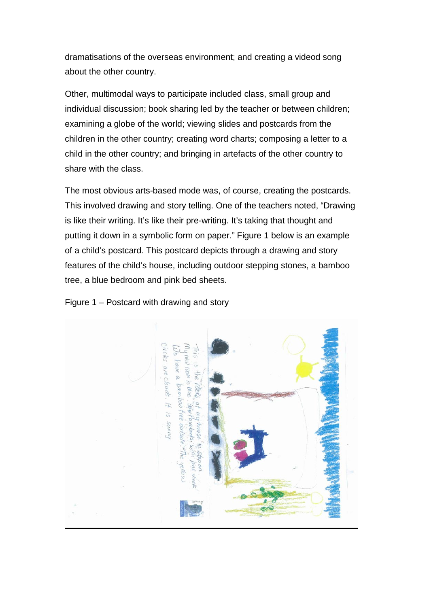dramatisations of the overseas environment; and creating a videod song about the other country.

Other, multimodal ways to participate included class, small group and individual discussion; book sharing led by the teacher or between children; examining a globe of the world; viewing slides and postcards from the children in the other country; creating word charts; composing a letter to a child in the other country; and bringing in artefacts of the other country to share with the class.

The most obvious arts-based mode was, of course, creating the postcards. This involved drawing and story telling. One of the teachers noted, "Drawing is like their writing. It's like their pre-writing. It's taking that thought and putting it down in a symbolic form on paper." Figure 1 below is an example of a child's postcard. This postcard depicts through a drawing and story features of the child's house, including outdoor stepping stones, a bamboo tree, a blue bedroom and pink bed sheets.

### Figure 1 – Postcard with drawing and story

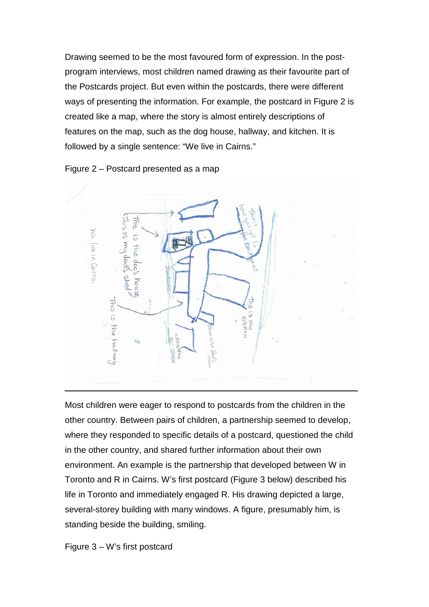Drawing seemed to be the most favoured form of expression. In the postprogram interviews, most children named drawing as their favourite part of the Postcards project. But even within the postcards, there were different ways of presenting the information. For example, the postcard in Figure 2 is created like a map, where the story is almost entirely descriptions of features on the map, such as the dog house, hallway, and kitchen. It is followed by a single sentence: "We live in Cairns."





Most children were eager to respond to postcards from the children in the other country. Between pairs of children, a partnership seemed to develop, where they responded to specific details of a postcard, questioned the child in the other country, and shared further information about their own environment. An example is the partnership that developed between W in Toronto and R in Cairns. W's first postcard (Figure 3 below) described his life in Toronto and immediately engaged R. His drawing depicted a large, several-storey building with many windows. A figure, presumably him, is standing beside the building, smiling.

Figure 3 – W's first postcard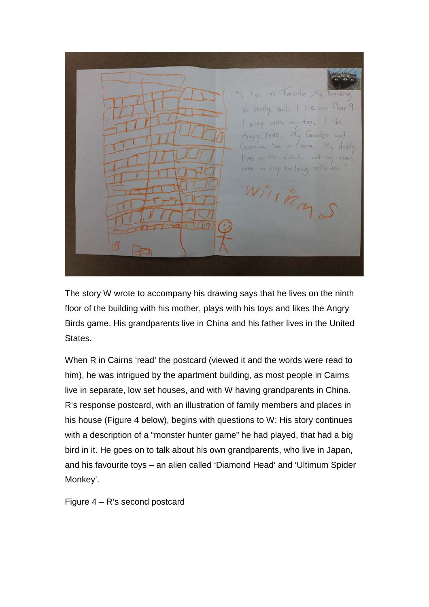in Toronto. My live really tall. live on  $+$ loor with **YYNU**  $t$  ay  $5$ Williams

The story W wrote to accompany his drawing says that he lives on the ninth floor of the building with his mother, plays with his toys and likes the Angry Birds game. His grandparents live in China and his father lives in the United States.

When R in Cairns 'read' the postcard (viewed it and the words were read to him), he was intrigued by the apartment building, as most people in Cairns live in separate, low set houses, and with W having grandparents in China. R's response postcard, with an illustration of family members and places in his house (Figure 4 below), begins with questions to W: His story continues with a description of a "monster hunter game" he had played, that had a big bird in it. He goes on to talk about his own grandparents, who live in Japan, and his favourite toys – an alien called 'Diamond Head' and 'Ultimum Spider Monkey'.

Figure 4 – R's second postcard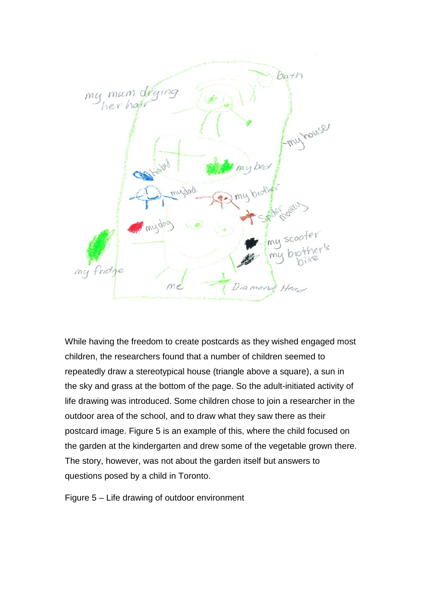

While having the freedom to create postcards as they wished engaged most children, the researchers found that a number of children seemed to repeatedly draw a stereotypical house (triangle above a square), a sun in the sky and grass at the bottom of the page. So the adult-initiated activity of life drawing was introduced. Some children chose to join a researcher in the outdoor area of the school, and to draw what they saw there as their postcard image. Figure 5 is an example of this, where the child focused on the garden at the kindergarten and drew some of the vegetable grown there. The story, however, was not about the garden itself but answers to questions posed by a child in Toronto.

Figure 5 – Life drawing of outdoor environment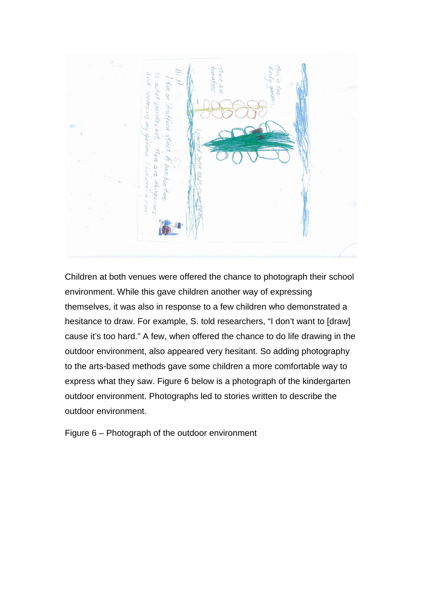

Children at both venues were offered the chance to photograph their school environment. While this gave children another way of expressing themselves, it was also in response to a few children who demonstrated a hesitance to draw. For example, S. told researchers, "I don't want to [draw] cause it's too hard." A few, when offered the chance to do life drawing in the outdoor environment, also appeared very hesitant. So adding photography to the arts-based methods gave some children a more comfortable way to express what they saw. Figure 6 below is a photograph of the kindergarten outdoor environment. Photographs led to stories written to describe the outdoor environment.

Figure 6 – Photograph of the outdoor environment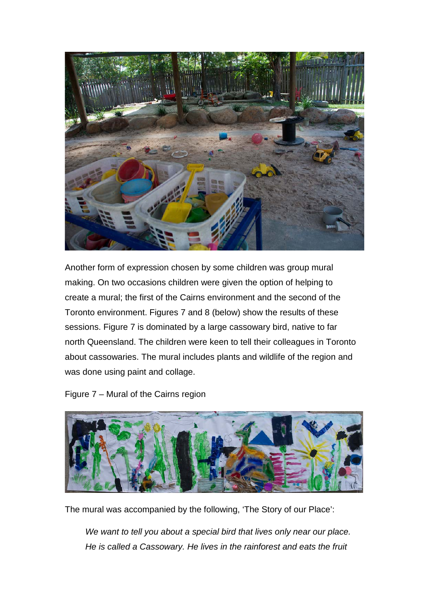

Another form of expression chosen by some children was group mural making. On two occasions children were given the option of helping to create a mural; the first of the Cairns environment and the second of the Toronto environment. Figures 7 and 8 (below) show the results of these sessions. Figure 7 is dominated by a large cassowary bird, native to far north Queensland. The children were keen to tell their colleagues in Toronto about cassowaries. The mural includes plants and wildlife of the region and was done using paint and collage.

Figure 7 – Mural of the Cairns region



The mural was accompanied by the following, 'The Story of our Place':

*We want to tell you about a special bird that lives only near our place. He is called a Cassowary. He lives in the rainforest and eats the fruit*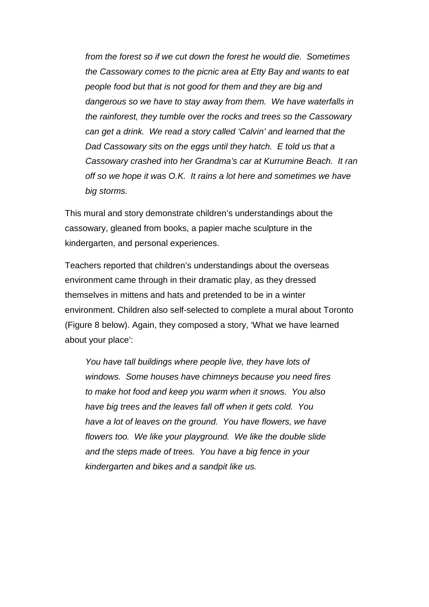*from the forest so if we cut down the forest he would die. Sometimes the Cassowary comes to the picnic area at Etty Bay and wants to eat people food but that is not good for them and they are big and dangerous so we have to stay away from them. We have waterfalls in the rainforest, they tumble over the rocks and trees so the Cassowary can get a drink. We read a story called 'Calvin' and learned that the Dad Cassowary sits on the eggs until they hatch. E told us that a Cassowary crashed into her Grandma's car at Kurrumine Beach. It ran off so we hope it was O.K. It rains a lot here and sometimes we have big storms.*

This mural and story demonstrate children's understandings about the cassowary, gleaned from books, a papier mache sculpture in the kindergarten, and personal experiences.

Teachers reported that children's understandings about the overseas environment came through in their dramatic play, as they dressed themselves in mittens and hats and pretended to be in a winter environment. Children also self-selected to complete a mural about Toronto (Figure 8 below). Again, they composed a story, 'What we have learned about your place':

*You have tall buildings where people live, they have lots of windows. Some houses have chimneys because you need fires to make hot food and keep you warm when it snows. You also have big trees and the leaves fall off when it gets cold. You have a lot of leaves on the ground. You have flowers, we have flowers too. We like your playground. We like the double slide and the steps made of trees. You have a big fence in your kindergarten and bikes and a sandpit like us.*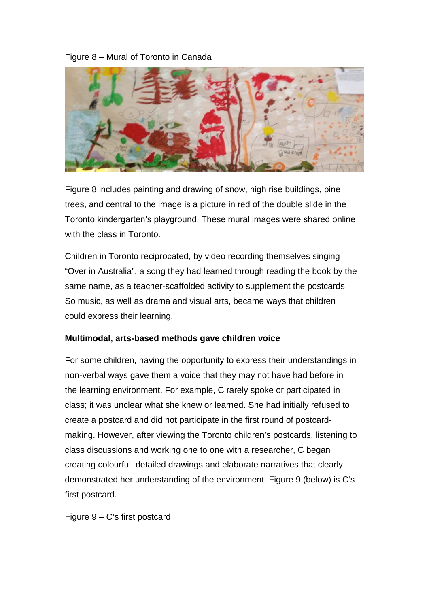# Figure 8 – Mural of Toronto in Canada



Figure 8 includes painting and drawing of snow, high rise buildings, pine trees, and central to the image is a picture in red of the double slide in the Toronto kindergarten's playground. These mural images were shared online with the class in Toronto.

Children in Toronto reciprocated, by video recording themselves singing "Over in Australia", a song they had learned through reading the book by the same name, as a teacher-scaffolded activity to supplement the postcards. So music, as well as drama and visual arts, became ways that children could express their learning.

### **Multimodal, arts-based methods gave children voice**

For some children, having the opportunity to express their understandings in non-verbal ways gave them a voice that they may not have had before in the learning environment. For example, C rarely spoke or participated in class; it was unclear what she knew or learned. She had initially refused to create a postcard and did not participate in the first round of postcardmaking. However, after viewing the Toronto children's postcards, listening to class discussions and working one to one with a researcher, C began creating colourful, detailed drawings and elaborate narratives that clearly demonstrated her understanding of the environment. Figure 9 (below) is C's first postcard.

Figure 9 – C's first postcard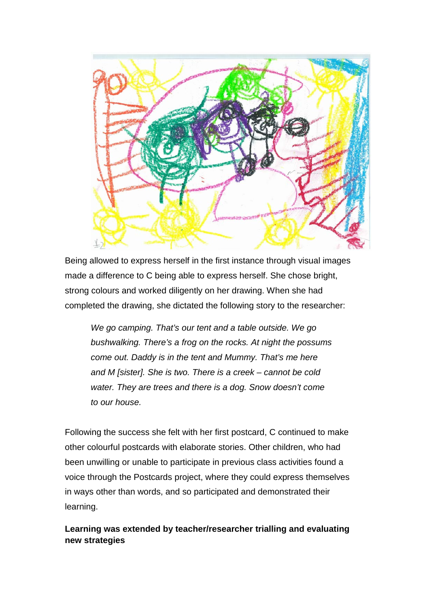

Being allowed to express herself in the first instance through visual images made a difference to C being able to express herself. She chose bright, strong colours and worked diligently on her drawing. When she had completed the drawing, she dictated the following story to the researcher:

*We go camping. That's our tent and a table outside. We go bushwalking. There's a frog on the rocks. At night the possums come out. Daddy is in the tent and Mummy. That's me here and M [sister]. She is two. There is a creek – cannot be cold water. They are trees and there is a dog. Snow doesn't come to our house.*

Following the success she felt with her first postcard, C continued to make other colourful postcards with elaborate stories. Other children, who had been unwilling or unable to participate in previous class activities found a voice through the Postcards project, where they could express themselves in ways other than words, and so participated and demonstrated their learning.

**Learning was extended by teacher/researcher trialling and evaluating new strategies**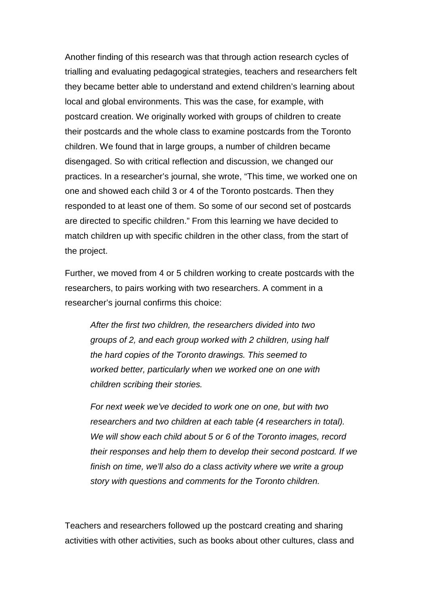Another finding of this research was that through action research cycles of trialling and evaluating pedagogical strategies, teachers and researchers felt they became better able to understand and extend children's learning about local and global environments. This was the case, for example, with postcard creation. We originally worked with groups of children to create their postcards and the whole class to examine postcards from the Toronto children. We found that in large groups, a number of children became disengaged. So with critical reflection and discussion, we changed our practices. In a researcher's journal, she wrote, "This time, we worked one on one and showed each child 3 or 4 of the Toronto postcards. Then they responded to at least one of them. So some of our second set of postcards are directed to specific children." From this learning we have decided to match children up with specific children in the other class, from the start of the project.

Further, we moved from 4 or 5 children working to create postcards with the researchers, to pairs working with two researchers. A comment in a researcher's journal confirms this choice:

*After the first two children, the researchers divided into two groups of 2, and each group worked with 2 children, using half the hard copies of the Toronto drawings. This seemed to worked better, particularly when we worked one on one with children scribing their stories.* 

*For next week we've decided to work one on one, but with two researchers and two children at each table (4 researchers in total). We will show each child about 5 or 6 of the Toronto images, record their responses and help them to develop their second postcard. If we finish on time, we'll also do a class activity where we write a group story with questions and comments for the Toronto children.* 

Teachers and researchers followed up the postcard creating and sharing activities with other activities, such as books about other cultures, class and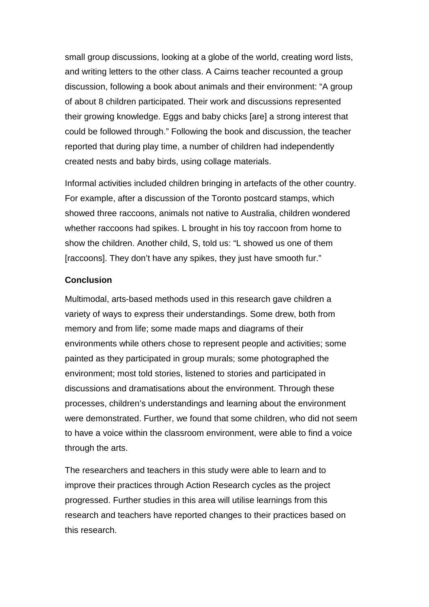small group discussions, looking at a globe of the world, creating word lists, and writing letters to the other class. A Cairns teacher recounted a group discussion, following a book about animals and their environment: "A group of about 8 children participated. Their work and discussions represented their growing knowledge. Eggs and baby chicks [are] a strong interest that could be followed through." Following the book and discussion, the teacher reported that during play time, a number of children had independently created nests and baby birds, using collage materials.

Informal activities included children bringing in artefacts of the other country. For example, after a discussion of the Toronto postcard stamps, which showed three raccoons, animals not native to Australia, children wondered whether raccoons had spikes. L brought in his toy raccoon from home to show the children. Another child, S, told us: "L showed us one of them [raccoons]. They don't have any spikes, they just have smooth fur."

## **Conclusion**

Multimodal, arts-based methods used in this research gave children a variety of ways to express their understandings. Some drew, both from memory and from life; some made maps and diagrams of their environments while others chose to represent people and activities; some painted as they participated in group murals; some photographed the environment; most told stories, listened to stories and participated in discussions and dramatisations about the environment. Through these processes, children's understandings and learning about the environment were demonstrated. Further, we found that some children, who did not seem to have a voice within the classroom environment, were able to find a voice through the arts.

The researchers and teachers in this study were able to learn and to improve their practices through Action Research cycles as the project progressed. Further studies in this area will utilise learnings from this research and teachers have reported changes to their practices based on this research.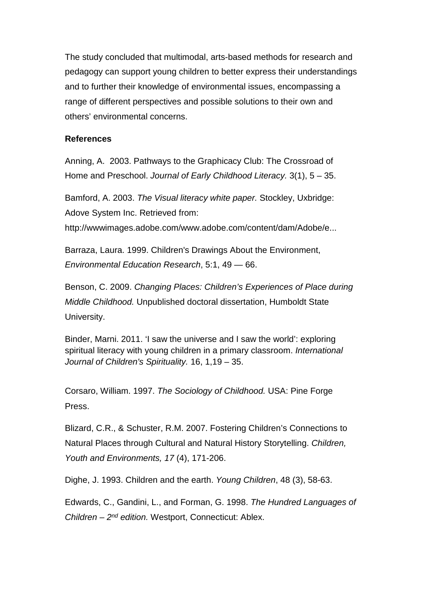The study concluded that multimodal, arts-based methods for research and pedagogy can support young children to better express their understandings and to further their knowledge of environmental issues, encompassing a range of different perspectives and possible solutions to their own and others' environmental concerns.

## **References**

Anning, A. 2003. Pathways to the Graphicacy Club: The Crossroad of Home and Preschool. *Journal of Early Childhood Literacy.* 3(1), 5 – 35.

Bamford, A. 2003. *The Visual literacy white paper.* Stockley, Uxbridge: Adove System Inc. Retrieved from:

http://wwwimages.adobe.com/www.adobe.com/content/dam/Adobe/e...

Barraza, Laura. 1999. Children's Drawings About the Environment, *Environmental Education Research*, 5:1, 49 — 66.

Benson, C. 2009. *Changing Places: Children's Experiences of Place during Middle Childhood.* Unpublished doctoral dissertation, Humboldt State University.

Binder, Marni. 2011. 'I saw the universe and I saw the world': exploring spiritual literacy with young children in a primary classroom. *International Journal of Children's Spirituality.* 16, 1,19 – 35.

Corsaro, William. 1997. *The Sociology of Childhood.* USA: Pine Forge Press.

Blizard, C.R., & Schuster, R.M. 2007. Fostering Children's Connections to Natural Places through Cultural and Natural History Storytelling. *Children, Youth and Environments, 17* (4), 171-206.

Dighe, J. 1993. Children and the earth. *Young Children*, 48 (3), 58-63.

Edwards, C., Gandini, L., and Forman, G. 1998. *The Hundred Languages of Children – 2nd edition.* Westport, Connecticut: Ablex.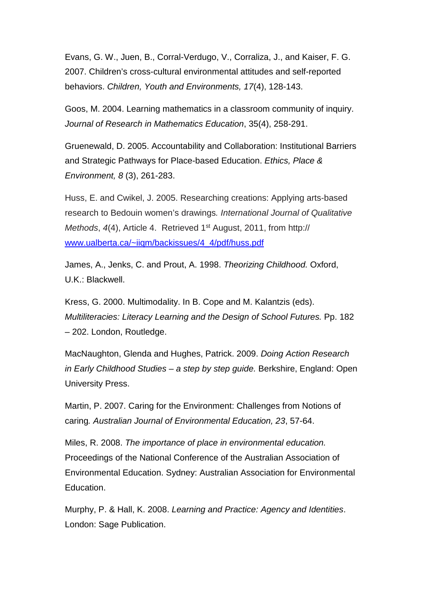Evans, G. W., Juen, B., Corral-Verdugo, V., Corraliza, J., and Kaiser, F. G. 2007. Children's cross-cultural environmental attitudes and self-reported behaviors. *Children, Youth and Environments, 17*(4), 128-143.

Goos, M. 2004. Learning mathematics in a classroom community of inquiry. *Journal of Research in Mathematics Education*, 35(4), 258-291.

Gruenewald, D. 2005. Accountability and Collaboration: Institutional Barriers and Strategic Pathways for Place-based Education. *Ethics, Place & Environment, 8* (3), 261-283.

Huss, E. and Cwikel, J. 2005. Researching creations: Applying arts-based research to Bedouin women's drawings*. International Journal of Qualitative Methods, 4(4), Article 4. Retrieved 1<sup>st</sup> August, 2011, from http://* [www.ualberta.ca/~iiqm/backissues/4\\_4/pdf/huss.pdf](http://www.ualberta.ca/%7Eiiqm/backissues/4_4/pdf/huss.pdf)

James, A., Jenks, C. and Prout, A. 1998. *Theorizing Childhood.* Oxford, U.K.: Blackwell.

Kress, G. 2000. Multimodality. In B. Cope and M. Kalantzis (eds). *Multiliteracies: Literacy Learning and the Design of School Futures.* Pp. 182 – 202. London, Routledge.

MacNaughton, Glenda and Hughes, Patrick. 2009. *Doing Action Research in Early Childhood Studies – a step by step guide.* Berkshire, England: Open University Press.

Martin, P. 2007. Caring for the Environment: Challenges from Notions of caring*. Australian Journal of Environmental Education, 23*, 57-64.

Miles, R. 2008. *The importance of place in environmental education.*  Proceedings of the National Conference of the Australian Association of Environmental Education. Sydney: Australian Association for Environmental Education.

Murphy, P. & Hall, K. 2008. *Learning and Practice: Agency and Identities*. London: Sage Publication.